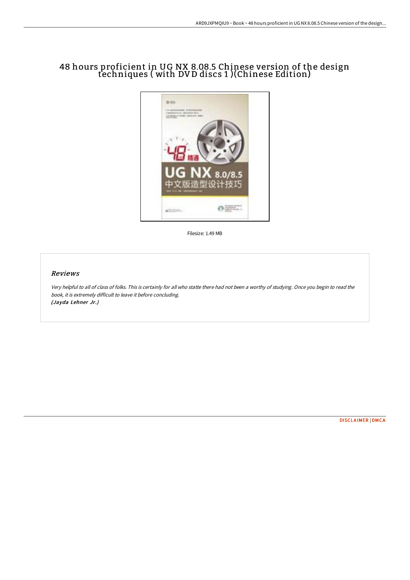# 48 hours proficient in UG NX 8.08.5 Chinese version of the design techniques ( with DV D discs 1 )(Chinese Edition)



Filesize: 1.49 MB

#### Reviews

Very helpful to all of class of folks. This is certainly for all who statte there had not been <sup>a</sup> worthy of studying. Once you begin to read the book, it is extremely difficult to leave it before concluding. (Jayda Lehner Jr.)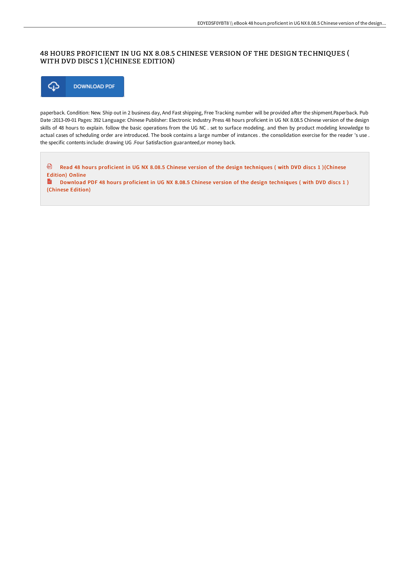## 48 HOURS PROFICIENT IN UG NX 8.08.5 CHINESE VERSION OF THE DESIGN TECHNIQUES ( WITH DVD DISCS 1 )(CHINESE EDITION)



paperback. Condition: New. Ship out in 2 business day, And Fast shipping, Free Tracking number will be provided after the shipment.Paperback. Pub Date :2013-09-01 Pages: 392 Language: Chinese Publisher: Electronic Industry Press 48 hours proficient in UG NX 8.08.5 Chinese version of the design skills of 48 hours to explain. follow the basic operations from the UG NC . set to surface modeling. and then by product modeling knowledge to actual cases of scheduling order are introduced. The book contains a large number of instances . the consolidation exercise for the reader 's use . the specific contents include: drawing UG .Four Satisfaction guaranteed,or money back.

❺ Read 48 hours proficient in UG NX 8.08.5 Chinese version of the design [techniques](http://albedo.media/48-hours-proficient-in-ug-nx-8-08-5-chinese-vers.html) ( with DVD discs 1 )(Chinese Edition) Online  $\frac{1}{100}$ Download PDF 48 hours proficient in UG NX 8.08.5 Chinese version of the design [techniques](http://albedo.media/48-hours-proficient-in-ug-nx-8-08-5-chinese-vers.html) ( with DVD discs 1 ) (Chinese Edition)